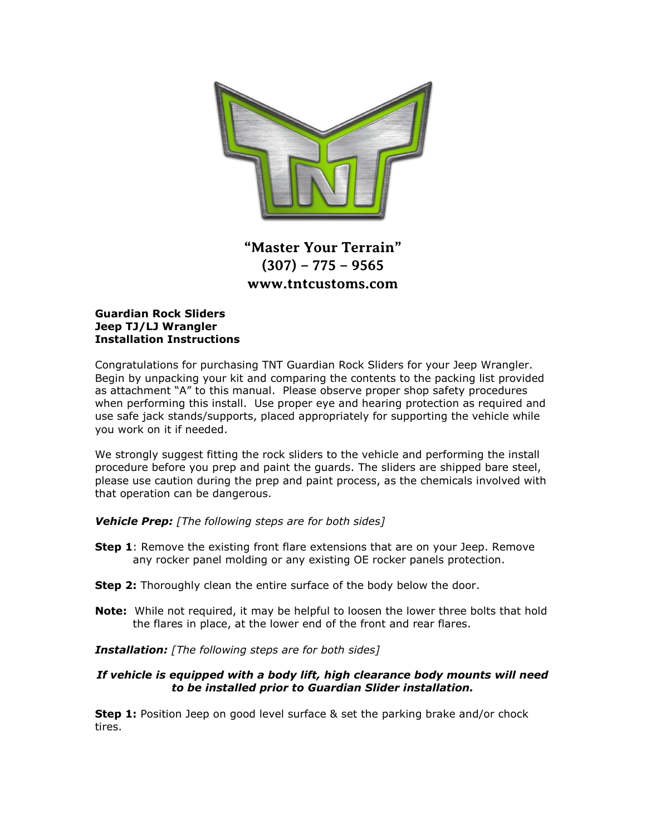

# **"Master Your Terrain" (307) – 775 – 9565 www.tntcustoms.com**

#### **Guardian Rock Sliders Jeep TJ/LJ Wrangler Installation Instructions**

Congratulations for purchasing TNT Guardian Rock Sliders for your Jeep Wrangler. Begin by unpacking your kit and comparing the contents to the packing list provided as attachment "A" to this manual. Please observe proper shop safety procedures when performing this install. Use proper eye and hearing protection as required and use safe jack stands/supports, placed appropriately for supporting the vehicle while you work on it if needed.

We strongly suggest fitting the rock sliders to the vehicle and performing the install procedure before you prep and paint the guards. The sliders are shipped bare steel, please use caution during the prep and paint process, as the chemicals involved with that operation can be dangerous.

*Vehicle Prep: [The following steps are for both sides]*

- **Step 1**: Remove the existing front flare extensions that are on your Jeep. Remove any rocker panel molding or any existing OE rocker panels protection.
- **Step 2:** Thoroughly clean the entire surface of the body below the door.
- **Note:** While not required, it may be helpful to loosen the lower three bolts that hold the flares in place, at the lower end of the front and rear flares.

*Installation: [The following steps are for both sides]*

#### *If vehicle is equipped with a body lift, high clearance body mounts will need to be installed prior to Guardian Slider installation.*

**Step 1:** Position Jeep on good level surface & set the parking brake and/or chock tires.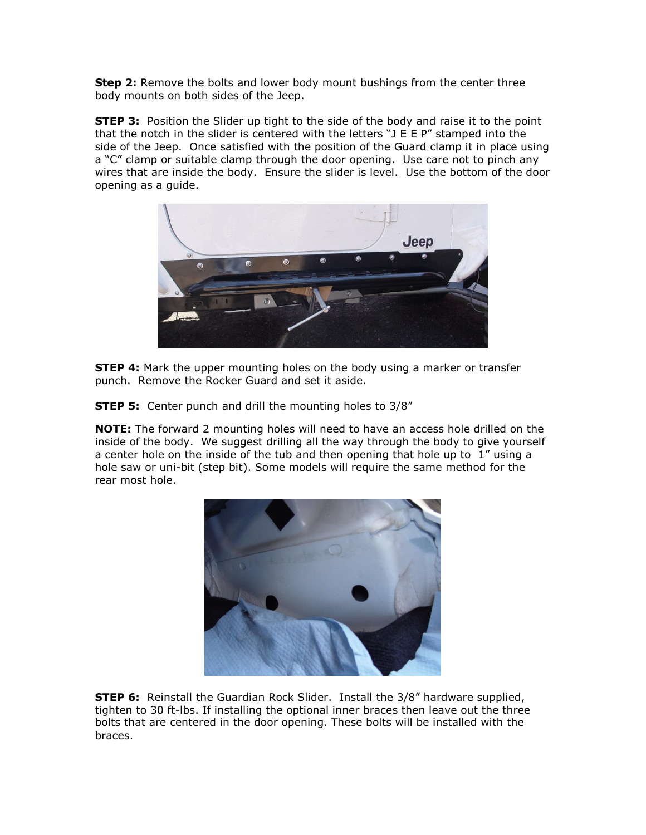**Step 2:** Remove the bolts and lower body mount bushings from the center three body mounts on both sides of the Jeep.

**STEP 3:** Position the Slider up tight to the side of the body and raise it to the point that the notch in the slider is centered with the letters "J E E P" stamped into the side of the Jeep. Once satisfied with the position of the Guard clamp it in place using a "C" clamp or suitable clamp through the door opening. Use care not to pinch any wires that are inside the body. Ensure the slider is level. Use the bottom of the door opening as a guide.



**STEP 4:** Mark the upper mounting holes on the body using a marker or transfer punch. Remove the Rocker Guard and set it aside.

**STEP 5:** Center punch and drill the mounting holes to 3/8"

**NOTE:** The forward 2 mounting holes will need to have an access hole drilled on the inside of the body. We suggest drilling all the way through the body to give yourself a center hole on the inside of the tub and then opening that hole up to 1" using a hole saw or uni-bit (step bit). Some models will require the same method for the rear most hole.



**STEP 6:** Reinstall the Guardian Rock Slider. Install the 3/8" hardware supplied, tighten to 30 ft-lbs. If installing the optional inner braces then leave out the three bolts that are centered in the door opening. These bolts will be installed with the braces.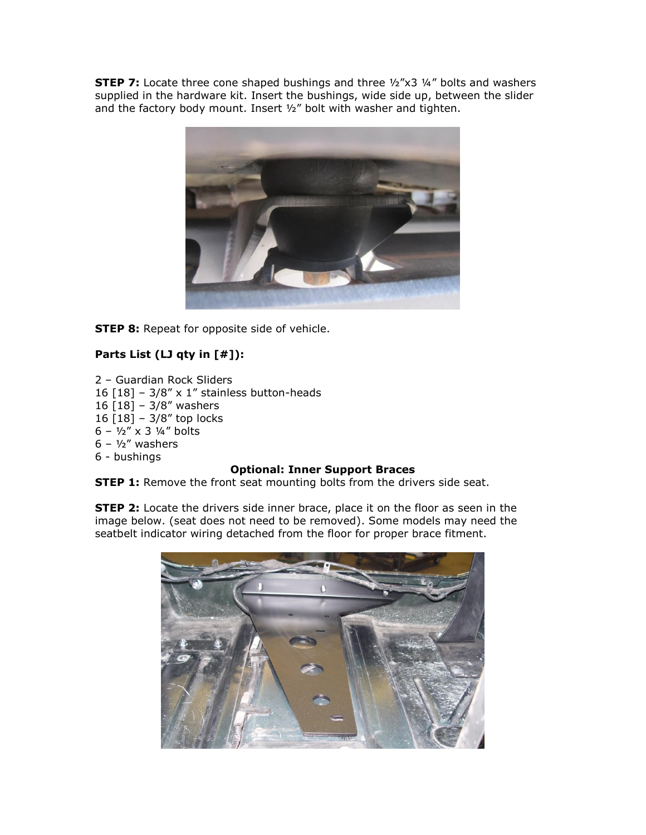**STEP 7:** Locate three cone shaped bushings and three ½"x3 ¼" bolts and washers supplied in the hardware kit. Insert the bushings, wide side up, between the slider and the factory body mount. Insert 1/2" bolt with washer and tighten.



**STEP 8:** Repeat for opposite side of vehicle.

## **Parts List (LJ qty in [#]):**

2 – Guardian Rock Sliders 16  $[18]$  – 3/8" x 1" stainless button-heads 16 [18] – 3/8" washers 16 [18] – 3/8" top locks  $6 - \frac{1}{2}$  x 3  $\frac{1}{4}$  bolts  $6 - \frac{1}{2}$ " washers 6 - bushings

### **Optional: Inner Support Braces**

**STEP 1:** Remove the front seat mounting bolts from the drivers side seat.

**STEP 2:** Locate the drivers side inner brace, place it on the floor as seen in the image below. (seat does not need to be removed). Some models may need the seatbelt indicator wiring detached from the floor for proper brace fitment.